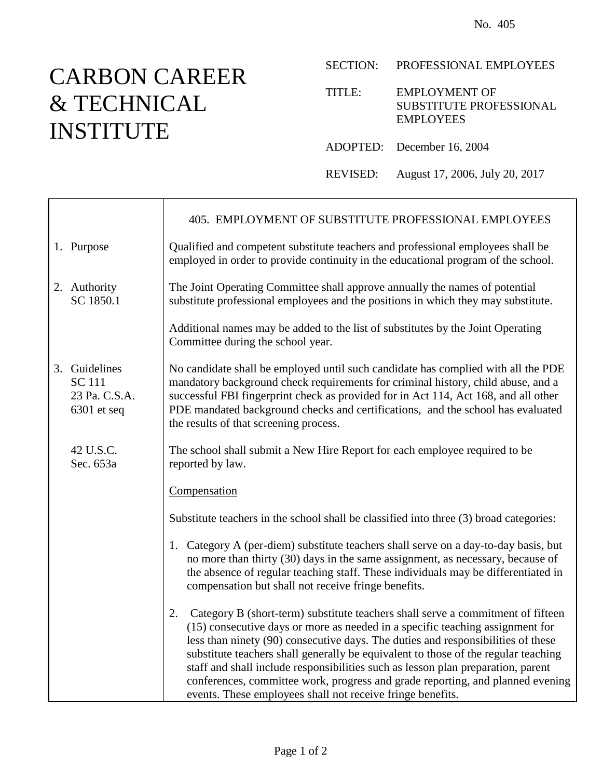## CARBON CAREER & TECHNICAL INSTITUTE

 $\mathsf{r}$ 

SECTION: PROFESSIONAL EMPLOYEES

TITLE: EMPLOYMENT OF SUBSTITUTE PROFESSIONAL EMPLOYEES

ADOPTED: December 16, 2004

REVISED: August 17, 2006, July 20, 2017

|                                                                  | 405. EMPLOYMENT OF SUBSTITUTE PROFESSIONAL EMPLOYEES                                                                                                                                                                                                                                                                                                                                                                                                                                                                                                                                 |
|------------------------------------------------------------------|--------------------------------------------------------------------------------------------------------------------------------------------------------------------------------------------------------------------------------------------------------------------------------------------------------------------------------------------------------------------------------------------------------------------------------------------------------------------------------------------------------------------------------------------------------------------------------------|
| 1. Purpose                                                       | Qualified and competent substitute teachers and professional employees shall be<br>employed in order to provide continuity in the educational program of the school.                                                                                                                                                                                                                                                                                                                                                                                                                 |
| 2. Authority<br>SC 1850.1                                        | The Joint Operating Committee shall approve annually the names of potential<br>substitute professional employees and the positions in which they may substitute.                                                                                                                                                                                                                                                                                                                                                                                                                     |
|                                                                  | Additional names may be added to the list of substitutes by the Joint Operating<br>Committee during the school year.                                                                                                                                                                                                                                                                                                                                                                                                                                                                 |
| 3. Guidelines<br><b>SC 111</b><br>23 Pa. C.S.A.<br>$6301$ et seq | No candidate shall be employed until such candidate has complied with all the PDE<br>mandatory background check requirements for criminal history, child abuse, and a<br>successful FBI fingerprint check as provided for in Act 114, Act 168, and all other<br>PDE mandated background checks and certifications, and the school has evaluated<br>the results of that screening process.                                                                                                                                                                                            |
| 42 U.S.C.<br>Sec. 653a                                           | The school shall submit a New Hire Report for each employee required to be<br>reported by law.                                                                                                                                                                                                                                                                                                                                                                                                                                                                                       |
|                                                                  | Compensation                                                                                                                                                                                                                                                                                                                                                                                                                                                                                                                                                                         |
|                                                                  | Substitute teachers in the school shall be classified into three (3) broad categories:                                                                                                                                                                                                                                                                                                                                                                                                                                                                                               |
|                                                                  | 1. Category A (per-diem) substitute teachers shall serve on a day-to-day basis, but<br>no more than thirty (30) days in the same assignment, as necessary, because of<br>the absence of regular teaching staff. These individuals may be differentiated in<br>compensation but shall not receive fringe benefits.                                                                                                                                                                                                                                                                    |
|                                                                  | Category B (short-term) substitute teachers shall serve a commitment of fifteen<br>2.<br>(15) consecutive days or more as needed in a specific teaching assignment for<br>less than ninety (90) consecutive days. The duties and responsibilities of these<br>substitute teachers shall generally be equivalent to those of the regular teaching<br>staff and shall include responsibilities such as lesson plan preparation, parent<br>conferences, committee work, progress and grade reporting, and planned evening<br>events. These employees shall not receive fringe benefits. |